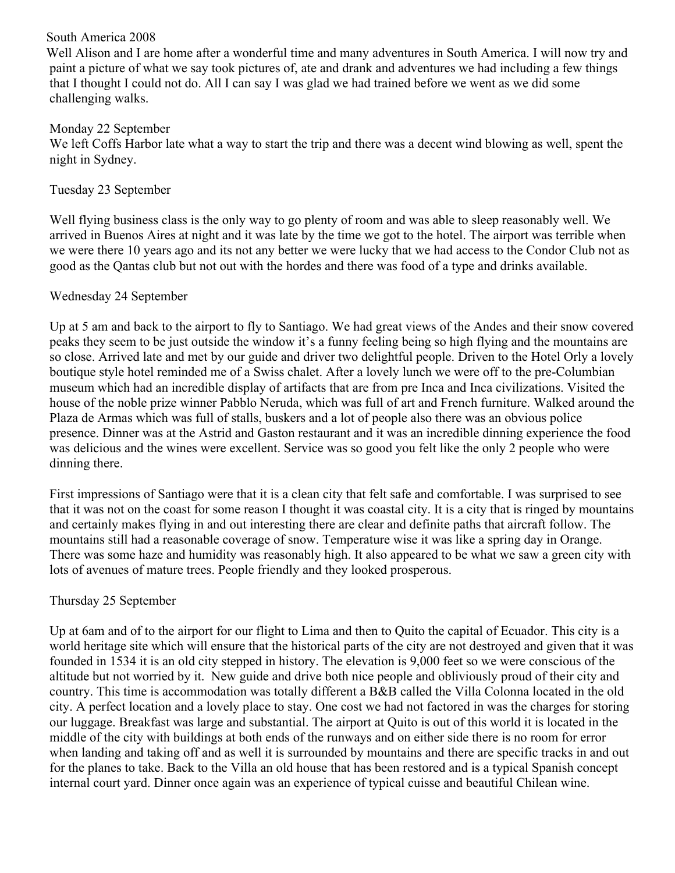## South America 2008

 Well Alison and I are home after a wonderful time and many adventures in South America. I will now try and paint a picture of what we say took pictures of, ate and drank and adventures we had including a few things that I thought I could not do. All I can say I was glad we had trained before we went as we did some challenging walks.

## Monday 22 September

We left Coffs Harbor late what a way to start the trip and there was a decent wind blowing as well, spent the night in Sydney.

## Tuesday 23 September

Well flying business class is the only way to go plenty of room and was able to sleep reasonably well. We arrived in Buenos Aires at night and it was late by the time we got to the hotel. The airport was terrible when we were there 10 years ago and its not any better we were lucky that we had access to the Condor Club not as good as the Qantas club but not out with the hordes and there was food of a type and drinks available.

# Wednesday 24 September

Up at 5 am and back to the airport to fly to Santiago. We had great views of the Andes and their snow covered peaks they seem to be just outside the window it's a funny feeling being so high flying and the mountains are so close. Arrived late and met by our guide and driver two delightful people. Driven to the Hotel Orly a lovely boutique style hotel reminded me of a Swiss chalet. After a lovely lunch we were off to the pre-Columbian museum which had an incredible display of artifacts that are from pre Inca and Inca civilizations. Visited the house of the noble prize winner Pabblo Neruda, which was full of art and French furniture. Walked around the Plaza de Armas which was full of stalls, buskers and a lot of people also there was an obvious police presence. Dinner was at the Astrid and Gaston restaurant and it was an incredible dinning experience the food was delicious and the wines were excellent. Service was so good you felt like the only 2 people who were dinning there.

First impressions of Santiago were that it is a clean city that felt safe and comfortable. I was surprised to see that it was not on the coast for some reason I thought it was coastal city. It is a city that is ringed by mountains and certainly makes flying in and out interesting there are clear and definite paths that aircraft follow. The mountains still had a reasonable coverage of snow. Temperature wise it was like a spring day in Orange. There was some haze and humidity was reasonably high. It also appeared to be what we saw a green city with lots of avenues of mature trees. People friendly and they looked prosperous.

# Thursday 25 September

Up at 6am and of to the airport for our flight to Lima and then to Quito the capital of Ecuador. This city is a world heritage site which will ensure that the historical parts of the city are not destroyed and given that it was founded in 1534 it is an old city stepped in history. The elevation is 9,000 feet so we were conscious of the altitude but not worried by it. New guide and drive both nice people and obliviously proud of their city and country. This time is accommodation was totally different a B&B called the Villa Colonna located in the old city. A perfect location and a lovely place to stay. One cost we had not factored in was the charges for storing our luggage. Breakfast was large and substantial. The airport at Quito is out of this world it is located in the middle of the city with buildings at both ends of the runways and on either side there is no room for error when landing and taking off and as well it is surrounded by mountains and there are specific tracks in and out for the planes to take. Back to the Villa an old house that has been restored and is a typical Spanish concept internal court yard. Dinner once again was an experience of typical cuisse and beautiful Chilean wine.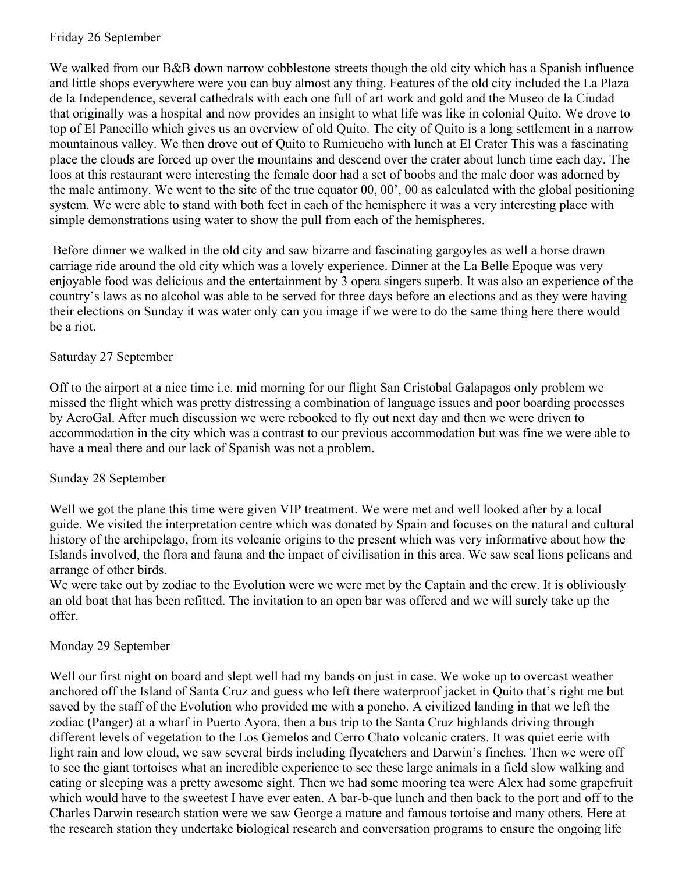### Friday 26 September

We walked from our B&B down narrow cobblestone streets though the old city which has a Spanish influence and little shops everywhere were you can buy almost any thing. Features of the old city included the La Plaza de Ia Independence, several cathedrals with each one full of art work and gold and the Museo de la Ciudad that originally was a hospital and now provides an insight to what life was like in colonial Quito. We drove to top of El Panecillo which gives us an overview of old Quito. The city of Quito is a long settlement in a narrow mountainous valley. We then drove out of Quito to Rumicucho with lunch at El Crater This was a fascinating place the clouds are forced up over the mountains and descend over the crater about lunch time each day. The loos at this restaurant were interesting the female door had a set of boobs and the male door was adorned by the male antimony. We went to the site of the true equator 00, 00', 00 as calculated with the global positioning system. We were able to stand with both feet in each of the hemisphere it was a very interesting place with simple demonstrations using water to show the pull from each of the hemispheres.

 Before dinner we walked in the old city and saw bizarre and fascinating gargoyles as well a horse drawn carriage ride around the old city which was a lovely experience. Dinner at the La Belle Epoque was very enjoyable food was delicious and the entertainment by 3 opera singers superb. It was also an experience of the country's laws as no alcohol was able to be served for three days before an elections and as they were having their elections on Sunday it was water only can you image if we were to do the same thing here there would be a riot.

# Saturday 27 September

Off to the airport at a nice time i.e. mid morning for our flight San Cristobal Galapagos only problem we missed the flight which was pretty distressing a combination of language issues and poor boarding processes by AeroGal. After much discussion we were rebooked to fly out next day and then we were driven to accommodation in the city which was a contrast to our previous accommodation but was fine we were able to have a meal there and our lack of Spanish was not a problem.

### Sunday 28 September

Well we got the plane this time were given VIP treatment. We were met and well looked after by a local guide. We visited the interpretation centre which was donated by Spain and focuses on the natural and cultural history of the archipelago, from its volcanic origins to the present which was very informative about how the Islands involved, the flora and fauna and the impact of civilisation in this area. We saw seal lions pelicans and arrange of other birds.

We were take out by zodiac to the Evolution were we were met by the Captain and the crew. It is obliviously an old boat that has been refitted. The invitation to an open bar was offered and we will surely take up the offer.

# Monday 29 September

Well our first night on board and slept well had my bands on just in case. We woke up to overcast weather anchored off the Island of Santa Cruz and guess who left there waterproof jacket in Quito that's right me but saved by the staff of the Evolution who provided me with a poncho. A civilized landing in that we left the zodiac (Panger) at a wharf in Puerto Ayora, then a bus trip to the Santa Cruz highlands driving through different levels of vegetation to the Los Gemelos and Cerro Chato volcanic craters. It was quiet eerie with light rain and low cloud, we saw several birds including flycatchers and Darwin's finches. Then we were off to see the giant tortoises what an incredible experience to see these large animals in a field slow walking and eating or sleeping was a pretty awesome sight. Then we had some mooring tea were Alex had some grapefruit which would have to the sweetest I have ever eaten. A bar-b-que lunch and then back to the port and off to the Charles Darwin research station were we saw George a mature and famous tortoise and many others. Here at the research station they undertake biological research and conversation programs to ensure the ongoing life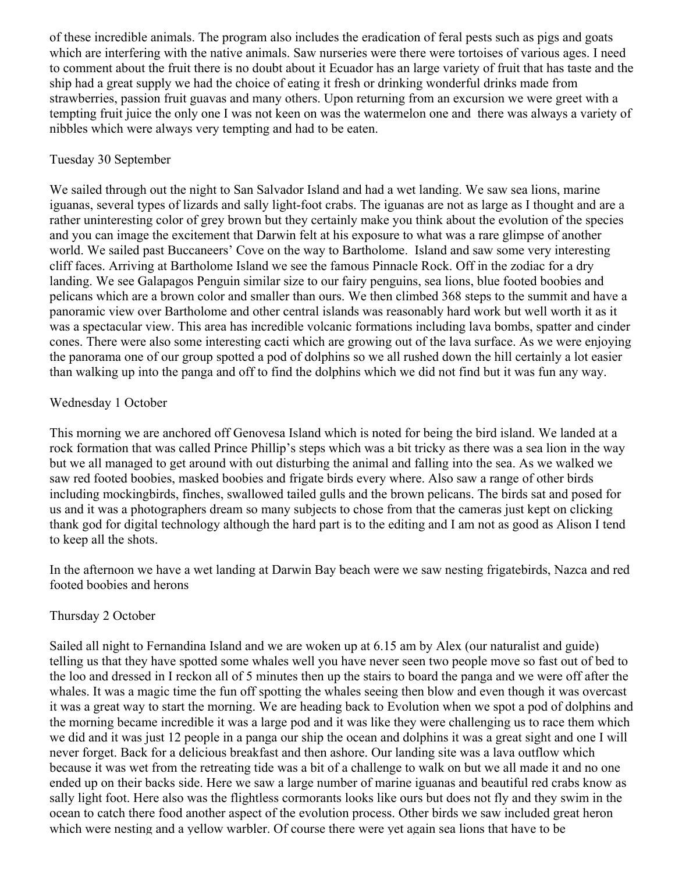of these incredible animals. The program also includes the eradication of feral pests such as pigs and goats which are interfering with the native animals. Saw nurseries were there were tortoises of various ages. I need to comment about the fruit there is no doubt about it Ecuador has an large variety of fruit that has taste and the ship had a great supply we had the choice of eating it fresh or drinking wonderful drinks made from strawberries, passion fruit guavas and many others. Upon returning from an excursion we were greet with a tempting fruit juice the only one I was not keen on was the watermelon one and there was always a variety of nibbles which were always very tempting and had to be eaten.

#### Tuesday 30 September

We sailed through out the night to San Salvador Island and had a wet landing. We saw sea lions, marine iguanas, several types of lizards and sally light-foot crabs. The iguanas are not as large as I thought and are a rather uninteresting color of grey brown but they certainly make you think about the evolution of the species and you can image the excitement that Darwin felt at his exposure to what was a rare glimpse of another world. We sailed past Buccaneers' Cove on the way to Bartholome. Island and saw some very interesting cliff faces. Arriving at Bartholome Island we see the famous Pinnacle Rock. Off in the zodiac for a dry landing. We see Galapagos Penguin similar size to our fairy penguins, sea lions, blue footed boobies and pelicans which are a brown color and smaller than ours. We then climbed 368 steps to the summit and have a panoramic view over Bartholome and other central islands was reasonably hard work but well worth it as it was a spectacular view. This area has incredible volcanic formations including lava bombs, spatter and cinder cones. There were also some interesting cacti which are growing out of the lava surface. As we were enjoying the panorama one of our group spotted a pod of dolphins so we all rushed down the hill certainly a lot easier than walking up into the panga and off to find the dolphins which we did not find but it was fun any way.

### Wednesday 1 October

This morning we are anchored off Genovesa Island which is noted for being the bird island. We landed at a rock formation that was called Prince Phillip's steps which was a bit tricky as there was a sea lion in the way but we all managed to get around with out disturbing the animal and falling into the sea. As we walked we saw red footed boobies, masked boobies and frigate birds every where. Also saw a range of other birds including mockingbirds, finches, swallowed tailed gulls and the brown pelicans. The birds sat and posed for us and it was a photographers dream so many subjects to chose from that the cameras just kept on clicking thank god for digital technology although the hard part is to the editing and I am not as good as Alison I tend to keep all the shots.

In the afternoon we have a wet landing at Darwin Bay beach were we saw nesting frigatebirds, Nazca and red footed boobies and herons

### Thursday 2 October

Sailed all night to Fernandina Island and we are woken up at 6.15 am by Alex (our naturalist and guide) telling us that they have spotted some whales well you have never seen two people move so fast out of bed to the loo and dressed in I reckon all of 5 minutes then up the stairs to board the panga and we were off after the whales. It was a magic time the fun off spotting the whales seeing then blow and even though it was overcast it was a great way to start the morning. We are heading back to Evolution when we spot a pod of dolphins and the morning became incredible it was a large pod and it was like they were challenging us to race them which we did and it was just 12 people in a panga our ship the ocean and dolphins it was a great sight and one I will never forget. Back for a delicious breakfast and then ashore. Our landing site was a lava outflow which because it was wet from the retreating tide was a bit of a challenge to walk on but we all made it and no one ended up on their backs side. Here we saw a large number of marine iguanas and beautiful red crabs know as sally light foot. Here also was the flightless cormorants looks like ours but does not fly and they swim in the ocean to catch there food another aspect of the evolution process. Other birds we saw included great heron which were nesting and a yellow warbler. Of course there were yet again sea lions that have to be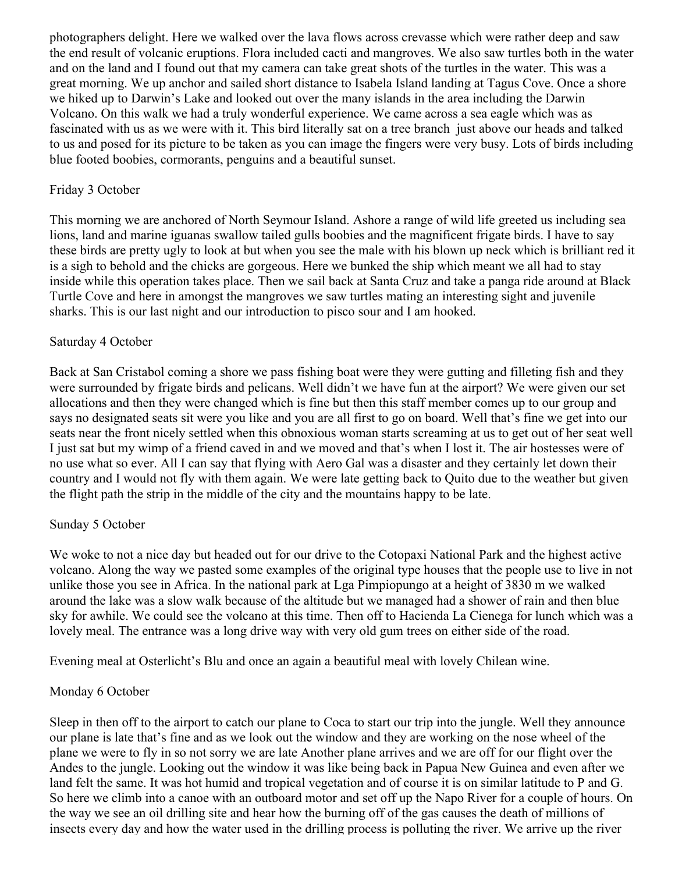photographers delight. Here we walked over the lava flows across crevasse which were rather deep and saw the end result of volcanic eruptions. Flora included cacti and mangroves. We also saw turtles both in the water and on the land and I found out that my camera can take great shots of the turtles in the water. This was a great morning. We up anchor and sailed short distance to Isabela Island landing at Tagus Cove. Once a shore we hiked up to Darwin's Lake and looked out over the many islands in the area including the Darwin Volcano. On this walk we had a truly wonderful experience. We came across a sea eagle which was as fascinated with us as we were with it. This bird literally sat on a tree branch just above our heads and talked to us and posed for its picture to be taken as you can image the fingers were very busy. Lots of birds including blue footed boobies, cormorants, penguins and a beautiful sunset.

### Friday 3 October

This morning we are anchored of North Seymour Island. Ashore a range of wild life greeted us including sea lions, land and marine iguanas swallow tailed gulls boobies and the magnificent frigate birds. I have to say these birds are pretty ugly to look at but when you see the male with his blown up neck which is brilliant red it is a sigh to behold and the chicks are gorgeous. Here we bunked the ship which meant we all had to stay inside while this operation takes place. Then we sail back at Santa Cruz and take a panga ride around at Black Turtle Cove and here in amongst the mangroves we saw turtles mating an interesting sight and juvenile sharks. This is our last night and our introduction to pisco sour and I am hooked.

#### Saturday 4 October

Back at San Cristabol coming a shore we pass fishing boat were they were gutting and filleting fish and they were surrounded by frigate birds and pelicans. Well didn't we have fun at the airport? We were given our set allocations and then they were changed which is fine but then this staff member comes up to our group and says no designated seats sit were you like and you are all first to go on board. Well that's fine we get into our seats near the front nicely settled when this obnoxious woman starts screaming at us to get out of her seat well I just sat but my wimp of a friend caved in and we moved and that's when I lost it. The air hostesses were of no use what so ever. All I can say that flying with Aero Gal was a disaster and they certainly let down their country and I would not fly with them again. We were late getting back to Quito due to the weather but given the flight path the strip in the middle of the city and the mountains happy to be late.

### Sunday 5 October

We woke to not a nice day but headed out for our drive to the Cotopaxi National Park and the highest active volcano. Along the way we pasted some examples of the original type houses that the people use to live in not unlike those you see in Africa. In the national park at Lga Pimpiopungo at a height of 3830 m we walked around the lake was a slow walk because of the altitude but we managed had a shower of rain and then blue sky for awhile. We could see the volcano at this time. Then off to Hacienda La Cienega for lunch which was a lovely meal. The entrance was a long drive way with very old gum trees on either side of the road.

Evening meal at Osterlicht's Blu and once an again a beautiful meal with lovely Chilean wine.

#### Monday 6 October

Sleep in then off to the airport to catch our plane to Coca to start our trip into the jungle. Well they announce our plane is late that's fine and as we look out the window and they are working on the nose wheel of the plane we were to fly in so not sorry we are late Another plane arrives and we are off for our flight over the Andes to the jungle. Looking out the window it was like being back in Papua New Guinea and even after we land felt the same. It was hot humid and tropical vegetation and of course it is on similar latitude to P and G. So here we climb into a canoe with an outboard motor and set off up the Napo River for a couple of hours. On the way we see an oil drilling site and hear how the burning off of the gas causes the death of millions of insects every day and how the water used in the drilling process is polluting the river. We arrive up the river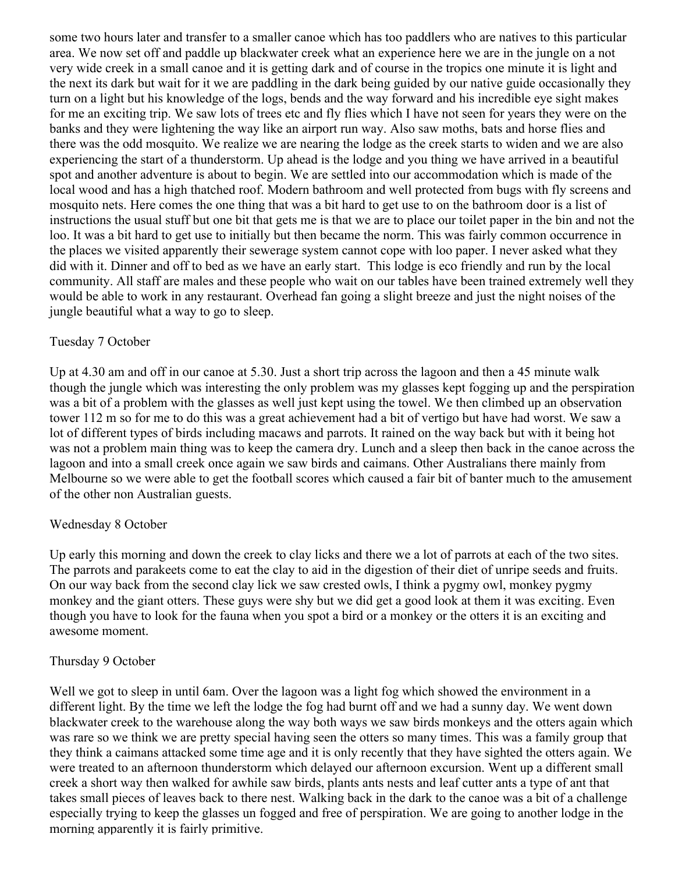some two hours later and transfer to a smaller canoe which has too paddlers who are natives to this particular area. We now set off and paddle up blackwater creek what an experience here we are in the jungle on a not very wide creek in a small canoe and it is getting dark and of course in the tropics one minute it is light and the next its dark but wait for it we are paddling in the dark being guided by our native guide occasionally they turn on a light but his knowledge of the logs, bends and the way forward and his incredible eye sight makes for me an exciting trip. We saw lots of trees etc and fly flies which I have not seen for years they were on the banks and they were lightening the way like an airport run way. Also saw moths, bats and horse flies and there was the odd mosquito. We realize we are nearing the lodge as the creek starts to widen and we are also experiencing the start of a thunderstorm. Up ahead is the lodge and you thing we have arrived in a beautiful spot and another adventure is about to begin. We are settled into our accommodation which is made of the local wood and has a high thatched roof. Modern bathroom and well protected from bugs with fly screens and mosquito nets. Here comes the one thing that was a bit hard to get use to on the bathroom door is a list of instructions the usual stuff but one bit that gets me is that we are to place our toilet paper in the bin and not the loo. It was a bit hard to get use to initially but then became the norm. This was fairly common occurrence in the places we visited apparently their sewerage system cannot cope with loo paper. I never asked what they did with it. Dinner and off to bed as we have an early start. This lodge is eco friendly and run by the local community. All staff are males and these people who wait on our tables have been trained extremely well they would be able to work in any restaurant. Overhead fan going a slight breeze and just the night noises of the jungle beautiful what a way to go to sleep.

### Tuesday 7 October

Up at 4.30 am and off in our canoe at 5.30. Just a short trip across the lagoon and then a 45 minute walk though the jungle which was interesting the only problem was my glasses kept fogging up and the perspiration was a bit of a problem with the glasses as well just kept using the towel. We then climbed up an observation tower 112 m so for me to do this was a great achievement had a bit of vertigo but have had worst. We saw a lot of different types of birds including macaws and parrots. It rained on the way back but with it being hot was not a problem main thing was to keep the camera dry. Lunch and a sleep then back in the canoe across the lagoon and into a small creek once again we saw birds and caimans. Other Australians there mainly from Melbourne so we were able to get the football scores which caused a fair bit of banter much to the amusement of the other non Australian guests.

# Wednesday 8 October

Up early this morning and down the creek to clay licks and there we a lot of parrots at each of the two sites. The parrots and parakeets come to eat the clay to aid in the digestion of their diet of unripe seeds and fruits. On our way back from the second clay lick we saw crested owls, I think a pygmy owl, monkey pygmy monkey and the giant otters. These guys were shy but we did get a good look at them it was exciting. Even though you have to look for the fauna when you spot a bird or a monkey or the otters it is an exciting and awesome moment.

### Thursday 9 October

Well we got to sleep in until 6am. Over the lagoon was a light fog which showed the environment in a different light. By the time we left the lodge the fog had burnt off and we had a sunny day. We went down blackwater creek to the warehouse along the way both ways we saw birds monkeys and the otters again which was rare so we think we are pretty special having seen the otters so many times. This was a family group that they think a caimans attacked some time age and it is only recently that they have sighted the otters again. We were treated to an afternoon thunderstorm which delayed our afternoon excursion. Went up a different small creek a short way then walked for awhile saw birds, plants ants nests and leaf cutter ants a type of ant that takes small pieces of leaves back to there nest. Walking back in the dark to the canoe was a bit of a challenge especially trying to keep the glasses un fogged and free of perspiration. We are going to another lodge in the morning apparently it is fairly primitive.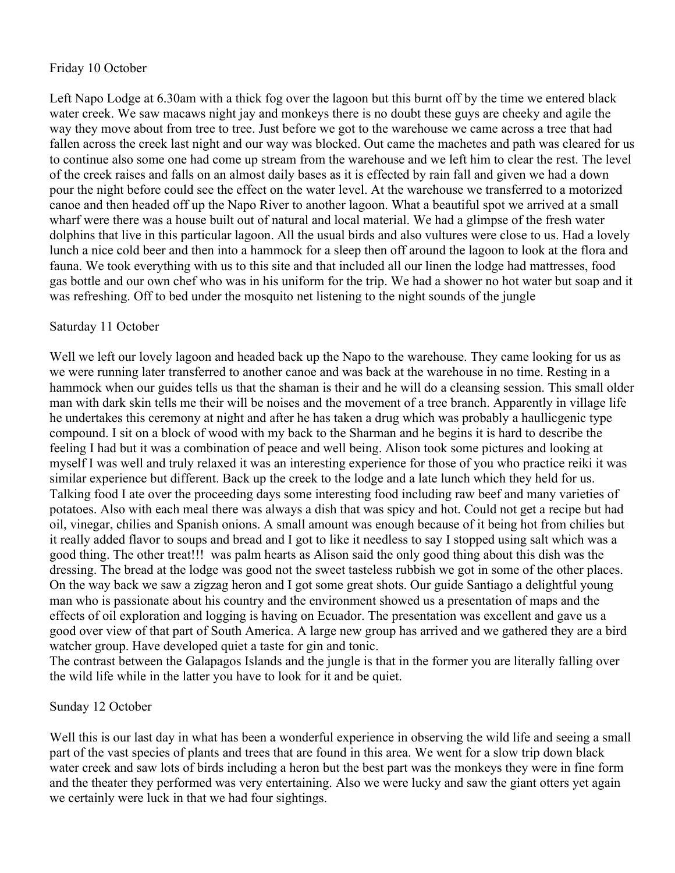#### Friday 10 October

Left Napo Lodge at 6.30am with a thick fog over the lagoon but this burnt off by the time we entered black water creek. We saw macaws night jay and monkeys there is no doubt these guys are cheeky and agile the way they move about from tree to tree. Just before we got to the warehouse we came across a tree that had fallen across the creek last night and our way was blocked. Out came the machetes and path was cleared for us to continue also some one had come up stream from the warehouse and we left him to clear the rest. The level of the creek raises and falls on an almost daily bases as it is effected by rain fall and given we had a down pour the night before could see the effect on the water level. At the warehouse we transferred to a motorized canoe and then headed off up the Napo River to another lagoon. What a beautiful spot we arrived at a small wharf were there was a house built out of natural and local material. We had a glimpse of the fresh water dolphins that live in this particular lagoon. All the usual birds and also vultures were close to us. Had a lovely lunch a nice cold beer and then into a hammock for a sleep then off around the lagoon to look at the flora and fauna. We took everything with us to this site and that included all our linen the lodge had mattresses, food gas bottle and our own chef who was in his uniform for the trip. We had a shower no hot water but soap and it was refreshing. Off to bed under the mosquito net listening to the night sounds of the jungle

#### Saturday 11 October

Well we left our lovely lagoon and headed back up the Napo to the warehouse. They came looking for us as we were running later transferred to another canoe and was back at the warehouse in no time. Resting in a hammock when our guides tells us that the shaman is their and he will do a cleansing session. This small older man with dark skin tells me their will be noises and the movement of a tree branch. Apparently in village life he undertakes this ceremony at night and after he has taken a drug which was probably a haullicgenic type compound. I sit on a block of wood with my back to the Sharman and he begins it is hard to describe the feeling I had but it was a combination of peace and well being. Alison took some pictures and looking at myself I was well and truly relaxed it was an interesting experience for those of you who practice reiki it was similar experience but different. Back up the creek to the lodge and a late lunch which they held for us. Talking food I ate over the proceeding days some interesting food including raw beef and many varieties of potatoes. Also with each meal there was always a dish that was spicy and hot. Could not get a recipe but had oil, vinegar, chilies and Spanish onions. A small amount was enough because of it being hot from chilies but it really added flavor to soups and bread and I got to like it needless to say I stopped using salt which was a good thing. The other treat!!! was palm hearts as Alison said the only good thing about this dish was the dressing. The bread at the lodge was good not the sweet tasteless rubbish we got in some of the other places. On the way back we saw a zigzag heron and I got some great shots. Our guide Santiago a delightful young man who is passionate about his country and the environment showed us a presentation of maps and the effects of oil exploration and logging is having on Ecuador. The presentation was excellent and gave us a good over view of that part of South America. A large new group has arrived and we gathered they are a bird watcher group. Have developed quiet a taste for gin and tonic.

The contrast between the Galapagos Islands and the jungle is that in the former you are literally falling over the wild life while in the latter you have to look for it and be quiet.

### Sunday 12 October

Well this is our last day in what has been a wonderful experience in observing the wild life and seeing a small part of the vast species of plants and trees that are found in this area. We went for a slow trip down black water creek and saw lots of birds including a heron but the best part was the monkeys they were in fine form and the theater they performed was very entertaining. Also we were lucky and saw the giant otters yet again we certainly were luck in that we had four sightings.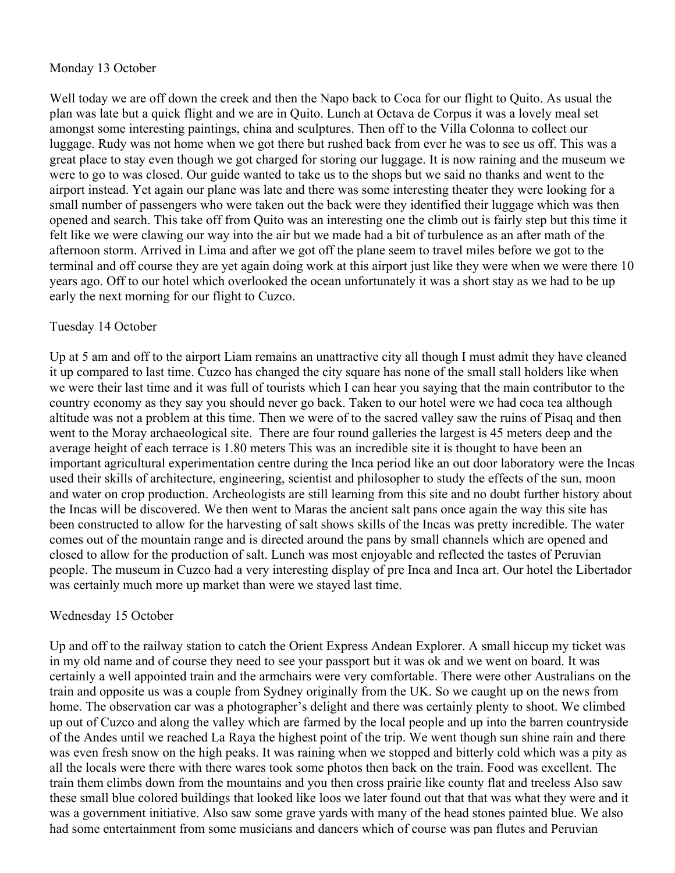### Monday 13 October

Well today we are off down the creek and then the Napo back to Coca for our flight to Quito. As usual the plan was late but a quick flight and we are in Quito. Lunch at Octava de Corpus it was a lovely meal set amongst some interesting paintings, china and sculptures. Then off to the Villa Colonna to collect our luggage. Rudy was not home when we got there but rushed back from ever he was to see us off. This was a great place to stay even though we got charged for storing our luggage. It is now raining and the museum we were to go to was closed. Our guide wanted to take us to the shops but we said no thanks and went to the airport instead. Yet again our plane was late and there was some interesting theater they were looking for a small number of passengers who were taken out the back were they identified their luggage which was then opened and search. This take off from Quito was an interesting one the climb out is fairly step but this time it felt like we were clawing our way into the air but we made had a bit of turbulence as an after math of the afternoon storm. Arrived in Lima and after we got off the plane seem to travel miles before we got to the terminal and off course they are yet again doing work at this airport just like they were when we were there 10 years ago. Off to our hotel which overlooked the ocean unfortunately it was a short stay as we had to be up early the next morning for our flight to Cuzco.

#### Tuesday 14 October

Up at 5 am and off to the airport Liam remains an unattractive city all though I must admit they have cleaned it up compared to last time. Cuzco has changed the city square has none of the small stall holders like when we were their last time and it was full of tourists which I can hear you saying that the main contributor to the country economy as they say you should never go back. Taken to our hotel were we had coca tea although altitude was not a problem at this time. Then we were of to the sacred valley saw the ruins of Pisaq and then went to the Moray archaeological site. There are four round galleries the largest is 45 meters deep and the average height of each terrace is 1.80 meters This was an incredible site it is thought to have been an important agricultural experimentation centre during the Inca period like an out door laboratory were the Incas used their skills of architecture, engineering, scientist and philosopher to study the effects of the sun, moon and water on crop production. Archeologists are still learning from this site and no doubt further history about the Incas will be discovered. We then went to Maras the ancient salt pans once again the way this site has been constructed to allow for the harvesting of salt shows skills of the Incas was pretty incredible. The water comes out of the mountain range and is directed around the pans by small channels which are opened and closed to allow for the production of salt. Lunch was most enjoyable and reflected the tastes of Peruvian people. The museum in Cuzco had a very interesting display of pre Inca and Inca art. Our hotel the Libertador was certainly much more up market than were we stayed last time.

### Wednesday 15 October

Up and off to the railway station to catch the Orient Express Andean Explorer. A small hiccup my ticket was in my old name and of course they need to see your passport but it was ok and we went on board. It was certainly a well appointed train and the armchairs were very comfortable. There were other Australians on the train and opposite us was a couple from Sydney originally from the UK. So we caught up on the news from home. The observation car was a photographer's delight and there was certainly plenty to shoot. We climbed up out of Cuzco and along the valley which are farmed by the local people and up into the barren countryside of the Andes until we reached La Raya the highest point of the trip. We went though sun shine rain and there was even fresh snow on the high peaks. It was raining when we stopped and bitterly cold which was a pity as all the locals were there with there wares took some photos then back on the train. Food was excellent. The train them climbs down from the mountains and you then cross prairie like county flat and treeless Also saw these small blue colored buildings that looked like loos we later found out that that was what they were and it was a government initiative. Also saw some grave yards with many of the head stones painted blue. We also had some entertainment from some musicians and dancers which of course was pan flutes and Peruvian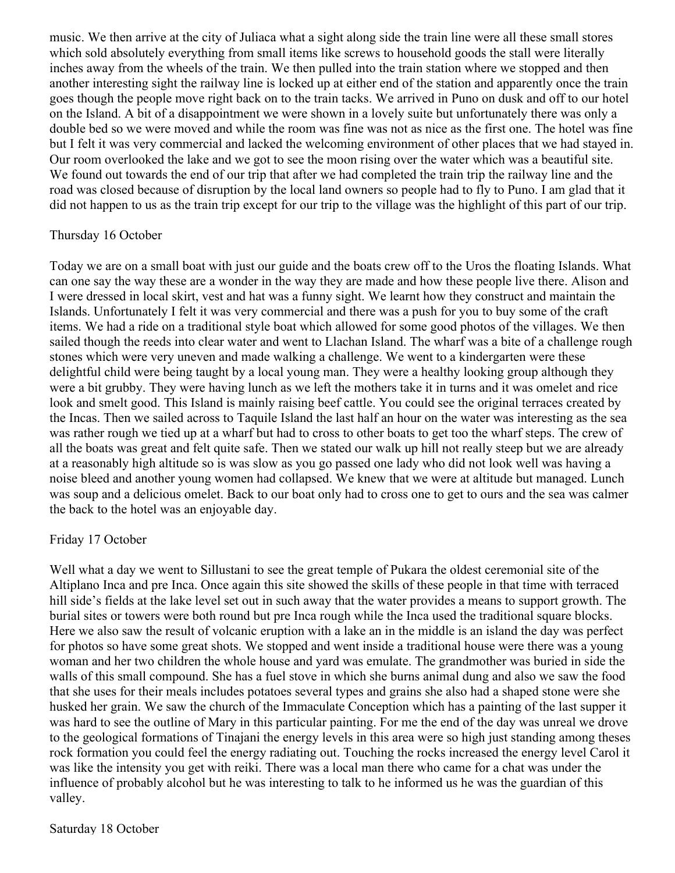music. We then arrive at the city of Juliaca what a sight along side the train line were all these small stores which sold absolutely everything from small items like screws to household goods the stall were literally inches away from the wheels of the train. We then pulled into the train station where we stopped and then another interesting sight the railway line is locked up at either end of the station and apparently once the train goes though the people move right back on to the train tacks. We arrived in Puno on dusk and off to our hotel on the Island. A bit of a disappointment we were shown in a lovely suite but unfortunately there was only a double bed so we were moved and while the room was fine was not as nice as the first one. The hotel was fine but I felt it was very commercial and lacked the welcoming environment of other places that we had stayed in. Our room overlooked the lake and we got to see the moon rising over the water which was a beautiful site. We found out towards the end of our trip that after we had completed the train trip the railway line and the road was closed because of disruption by the local land owners so people had to fly to Puno. I am glad that it did not happen to us as the train trip except for our trip to the village was the highlight of this part of our trip.

#### Thursday 16 October

Today we are on a small boat with just our guide and the boats crew off to the Uros the floating Islands. What can one say the way these are a wonder in the way they are made and how these people live there. Alison and I were dressed in local skirt, vest and hat was a funny sight. We learnt how they construct and maintain the Islands. Unfortunately I felt it was very commercial and there was a push for you to buy some of the craft items. We had a ride on a traditional style boat which allowed for some good photos of the villages. We then sailed though the reeds into clear water and went to Llachan Island. The wharf was a bite of a challenge rough stones which were very uneven and made walking a challenge. We went to a kindergarten were these delightful child were being taught by a local young man. They were a healthy looking group although they were a bit grubby. They were having lunch as we left the mothers take it in turns and it was omelet and rice look and smelt good. This Island is mainly raising beef cattle. You could see the original terraces created by the Incas. Then we sailed across to Taquile Island the last half an hour on the water was interesting as the sea was rather rough we tied up at a wharf but had to cross to other boats to get too the wharf steps. The crew of all the boats was great and felt quite safe. Then we stated our walk up hill not really steep but we are already at a reasonably high altitude so is was slow as you go passed one lady who did not look well was having a noise bleed and another young women had collapsed. We knew that we were at altitude but managed. Lunch was soup and a delicious omelet. Back to our boat only had to cross one to get to ours and the sea was calmer the back to the hotel was an enjoyable day.

### Friday 17 October

Well what a day we went to Sillustani to see the great temple of Pukara the oldest ceremonial site of the Altiplano Inca and pre Inca. Once again this site showed the skills of these people in that time with terraced hill side's fields at the lake level set out in such away that the water provides a means to support growth. The burial sites or towers were both round but pre Inca rough while the Inca used the traditional square blocks. Here we also saw the result of volcanic eruption with a lake an in the middle is an island the day was perfect for photos so have some great shots. We stopped and went inside a traditional house were there was a young woman and her two children the whole house and yard was emulate. The grandmother was buried in side the walls of this small compound. She has a fuel stove in which she burns animal dung and also we saw the food that she uses for their meals includes potatoes several types and grains she also had a shaped stone were she husked her grain. We saw the church of the Immaculate Conception which has a painting of the last supper it was hard to see the outline of Mary in this particular painting. For me the end of the day was unreal we drove to the geological formations of Tinajani the energy levels in this area were so high just standing among theses rock formation you could feel the energy radiating out. Touching the rocks increased the energy level Carol it was like the intensity you get with reiki. There was a local man there who came for a chat was under the influence of probably alcohol but he was interesting to talk to he informed us he was the guardian of this valley.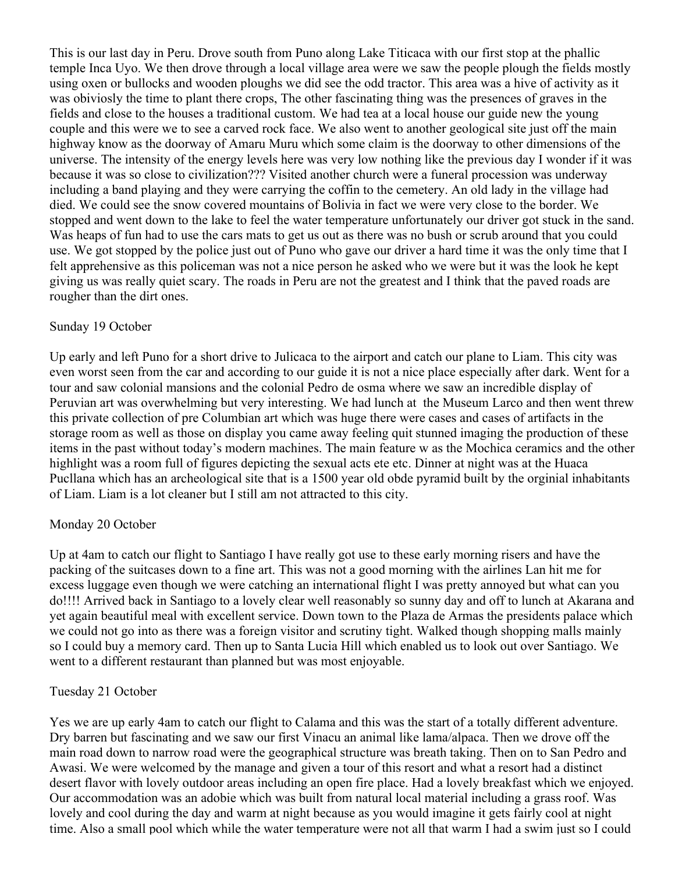This is our last day in Peru. Drove south from Puno along Lake Titicaca with our first stop at the phallic temple Inca Uyo. We then drove through a local village area were we saw the people plough the fields mostly using oxen or bullocks and wooden ploughs we did see the odd tractor. This area was a hive of activity as it was obiviosly the time to plant there crops, The other fascinating thing was the presences of graves in the fields and close to the houses a traditional custom. We had tea at a local house our guide new the young couple and this were we to see a carved rock face. We also went to another geological site just off the main highway know as the doorway of Amaru Muru which some claim is the doorway to other dimensions of the universe. The intensity of the energy levels here was very low nothing like the previous day I wonder if it was because it was so close to civilization??? Visited another church were a funeral procession was underway including a band playing and they were carrying the coffin to the cemetery. An old lady in the village had died. We could see the snow covered mountains of Bolivia in fact we were very close to the border. We stopped and went down to the lake to feel the water temperature unfortunately our driver got stuck in the sand. Was heaps of fun had to use the cars mats to get us out as there was no bush or scrub around that you could use. We got stopped by the police just out of Puno who gave our driver a hard time it was the only time that I felt apprehensive as this policeman was not a nice person he asked who we were but it was the look he kept giving us was really quiet scary. The roads in Peru are not the greatest and I think that the paved roads are rougher than the dirt ones.

#### Sunday 19 October

Up early and left Puno for a short drive to Julicaca to the airport and catch our plane to Liam. This city was even worst seen from the car and according to our guide it is not a nice place especially after dark. Went for a tour and saw colonial mansions and the colonial Pedro de osma where we saw an incredible display of Peruvian art was overwhelming but very interesting. We had lunch at the Museum Larco and then went threw this private collection of pre Columbian art which was huge there were cases and cases of artifacts in the storage room as well as those on display you came away feeling quit stunned imaging the production of these items in the past without today's modern machines. The main feature w as the Mochica ceramics and the other highlight was a room full of figures depicting the sexual acts ete etc. Dinner at night was at the Huaca Pucllana which has an archeological site that is a 1500 year old obde pyramid built by the orginial inhabitants of Liam. Liam is a lot cleaner but I still am not attracted to this city.

### Monday 20 October

Up at 4am to catch our flight to Santiago I have really got use to these early morning risers and have the packing of the suitcases down to a fine art. This was not a good morning with the airlines Lan hit me for excess luggage even though we were catching an international flight I was pretty annoyed but what can you do!!!! Arrived back in Santiago to a lovely clear well reasonably so sunny day and off to lunch at Akarana and yet again beautiful meal with excellent service. Down town to the Plaza de Armas the presidents palace which we could not go into as there was a foreign visitor and scrutiny tight. Walked though shopping malls mainly so I could buy a memory card. Then up to Santa Lucia Hill which enabled us to look out over Santiago. We went to a different restaurant than planned but was most enjoyable.

#### Tuesday 21 October

Yes we are up early 4am to catch our flight to Calama and this was the start of a totally different adventure. Dry barren but fascinating and we saw our first Vinacu an animal like lama/alpaca. Then we drove off the main road down to narrow road were the geographical structure was breath taking. Then on to San Pedro and Awasi. We were welcomed by the manage and given a tour of this resort and what a resort had a distinct desert flavor with lovely outdoor areas including an open fire place. Had a lovely breakfast which we enjoyed. Our accommodation was an adobie which was built from natural local material including a grass roof. Was lovely and cool during the day and warm at night because as you would imagine it gets fairly cool at night time. Also a small pool which while the water temperature were not all that warm I had a swim just so I could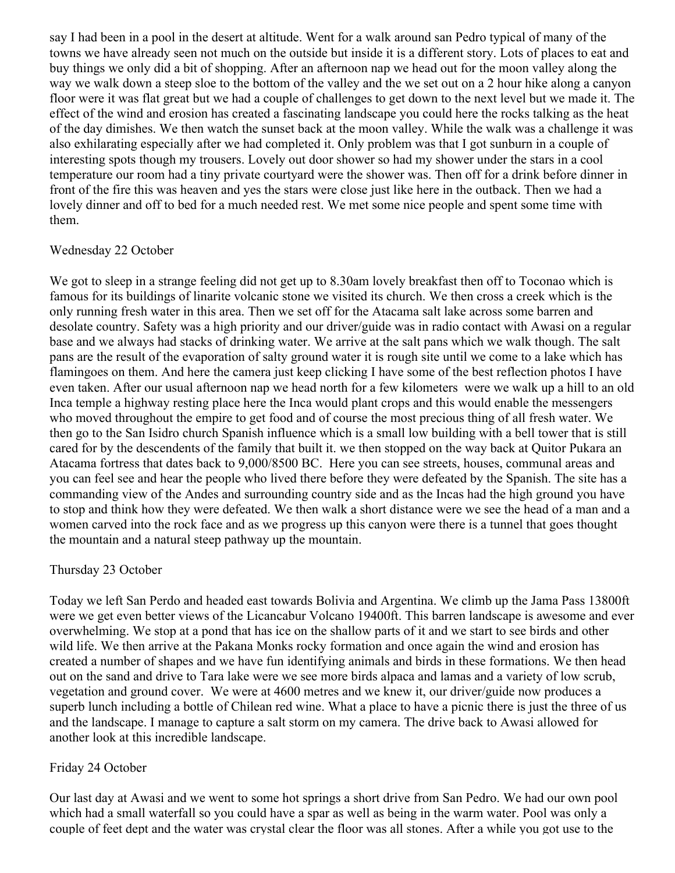say I had been in a pool in the desert at altitude. Went for a walk around san Pedro typical of many of the towns we have already seen not much on the outside but inside it is a different story. Lots of places to eat and buy things we only did a bit of shopping. After an afternoon nap we head out for the moon valley along the way we walk down a steep sloe to the bottom of the valley and the we set out on a 2 hour hike along a canyon floor were it was flat great but we had a couple of challenges to get down to the next level but we made it. The effect of the wind and erosion has created a fascinating landscape you could here the rocks talking as the heat of the day dimishes. We then watch the sunset back at the moon valley. While the walk was a challenge it was also exhilarating especially after we had completed it. Only problem was that I got sunburn in a couple of interesting spots though my trousers. Lovely out door shower so had my shower under the stars in a cool temperature our room had a tiny private courtyard were the shower was. Then off for a drink before dinner in front of the fire this was heaven and yes the stars were close just like here in the outback. Then we had a lovely dinner and off to bed for a much needed rest. We met some nice people and spent some time with them.

#### Wednesday 22 October

We got to sleep in a strange feeling did not get up to 8.30am lovely breakfast then off to Toconao which is famous for its buildings of linarite volcanic stone we visited its church. We then cross a creek which is the only running fresh water in this area. Then we set off for the Atacama salt lake across some barren and desolate country. Safety was a high priority and our driver/guide was in radio contact with Awasi on a regular base and we always had stacks of drinking water. We arrive at the salt pans which we walk though. The salt pans are the result of the evaporation of salty ground water it is rough site until we come to a lake which has flamingoes on them. And here the camera just keep clicking I have some of the best reflection photos I have even taken. After our usual afternoon nap we head north for a few kilometers were we walk up a hill to an old Inca temple a highway resting place here the Inca would plant crops and this would enable the messengers who moved throughout the empire to get food and of course the most precious thing of all fresh water. We then go to the San Isidro church Spanish influence which is a small low building with a bell tower that is still cared for by the descendents of the family that built it. we then stopped on the way back at Quitor Pukara an Atacama fortress that dates back to 9,000/8500 BC. Here you can see streets, houses, communal areas and you can feel see and hear the people who lived there before they were defeated by the Spanish. The site has a commanding view of the Andes and surrounding country side and as the Incas had the high ground you have to stop and think how they were defeated. We then walk a short distance were we see the head of a man and a women carved into the rock face and as we progress up this canyon were there is a tunnel that goes thought the mountain and a natural steep pathway up the mountain.

### Thursday 23 October

Today we left San Perdo and headed east towards Bolivia and Argentina. We climb up the Jama Pass 13800ft were we get even better views of the Licancabur Volcano 19400ft. This barren landscape is awesome and ever overwhelming. We stop at a pond that has ice on the shallow parts of it and we start to see birds and other wild life. We then arrive at the Pakana Monks rocky formation and once again the wind and erosion has created a number of shapes and we have fun identifying animals and birds in these formations. We then head out on the sand and drive to Tara lake were we see more birds alpaca and lamas and a variety of low scrub, vegetation and ground cover. We were at 4600 metres and we knew it, our driver/guide now produces a superb lunch including a bottle of Chilean red wine. What a place to have a picnic there is just the three of us and the landscape. I manage to capture a salt storm on my camera. The drive back to Awasi allowed for another look at this incredible landscape.

### Friday 24 October

Our last day at Awasi and we went to some hot springs a short drive from San Pedro. We had our own pool which had a small waterfall so you could have a spar as well as being in the warm water. Pool was only a couple of feet dept and the water was crystal clear the floor was all stones. After a while you got use to the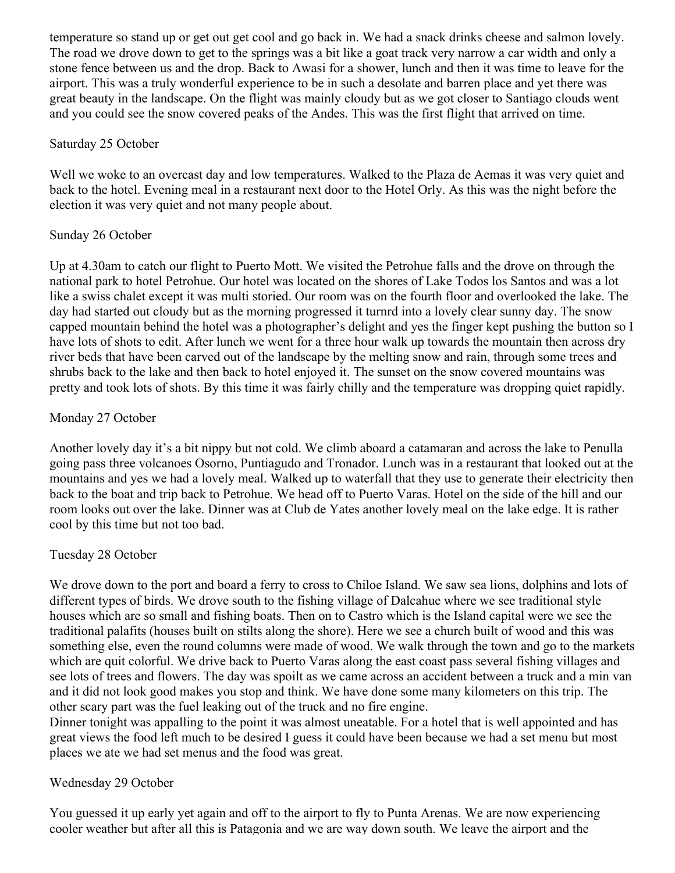temperature so stand up or get out get cool and go back in. We had a snack drinks cheese and salmon lovely. The road we drove down to get to the springs was a bit like a goat track very narrow a car width and only a stone fence between us and the drop. Back to Awasi for a shower, lunch and then it was time to leave for the airport. This was a truly wonderful experience to be in such a desolate and barren place and yet there was great beauty in the landscape. On the flight was mainly cloudy but as we got closer to Santiago clouds went and you could see the snow covered peaks of the Andes. This was the first flight that arrived on time.

#### Saturday 25 October

Well we woke to an overcast day and low temperatures. Walked to the Plaza de Aemas it was very quiet and back to the hotel. Evening meal in a restaurant next door to the Hotel Orly. As this was the night before the election it was very quiet and not many people about.

### Sunday 26 October

Up at 4.30am to catch our flight to Puerto Mott. We visited the Petrohue falls and the drove on through the national park to hotel Petrohue. Our hotel was located on the shores of Lake Todos los Santos and was a lot like a swiss chalet except it was multi storied. Our room was on the fourth floor and overlooked the lake. The day had started out cloudy but as the morning progressed it turnrd into a lovely clear sunny day. The snow capped mountain behind the hotel was a photographer's delight and yes the finger kept pushing the button so I have lots of shots to edit. After lunch we went for a three hour walk up towards the mountain then across dry river beds that have been carved out of the landscape by the melting snow and rain, through some trees and shrubs back to the lake and then back to hotel enjoyed it. The sunset on the snow covered mountains was pretty and took lots of shots. By this time it was fairly chilly and the temperature was dropping quiet rapidly.

# Monday 27 October

Another lovely day it's a bit nippy but not cold. We climb aboard a catamaran and across the lake to Penulla going pass three volcanoes Osorno, Puntiagudo and Tronador. Lunch was in a restaurant that looked out at the mountains and yes we had a lovely meal. Walked up to waterfall that they use to generate their electricity then back to the boat and trip back to Petrohue. We head off to Puerto Varas. Hotel on the side of the hill and our room looks out over the lake. Dinner was at Club de Yates another lovely meal on the lake edge. It is rather cool by this time but not too bad.

### Tuesday 28 October

We drove down to the port and board a ferry to cross to Chiloe Island. We saw sea lions, dolphins and lots of different types of birds. We drove south to the fishing village of Dalcahue where we see traditional style houses which are so small and fishing boats. Then on to Castro which is the Island capital were we see the traditional palafits (houses built on stilts along the shore). Here we see a church built of wood and this was something else, even the round columns were made of wood. We walk through the town and go to the markets which are quit colorful. We drive back to Puerto Varas along the east coast pass several fishing villages and see lots of trees and flowers. The day was spoilt as we came across an accident between a truck and a min van and it did not look good makes you stop and think. We have done some many kilometers on this trip. The other scary part was the fuel leaking out of the truck and no fire engine.

Dinner tonight was appalling to the point it was almost uneatable. For a hotel that is well appointed and has great views the food left much to be desired I guess it could have been because we had a set menu but most places we ate we had set menus and the food was great.

### Wednesday 29 October

You guessed it up early yet again and off to the airport to fly to Punta Arenas. We are now experiencing cooler weather but after all this is Patagonia and we are way down south. We leave the airport and the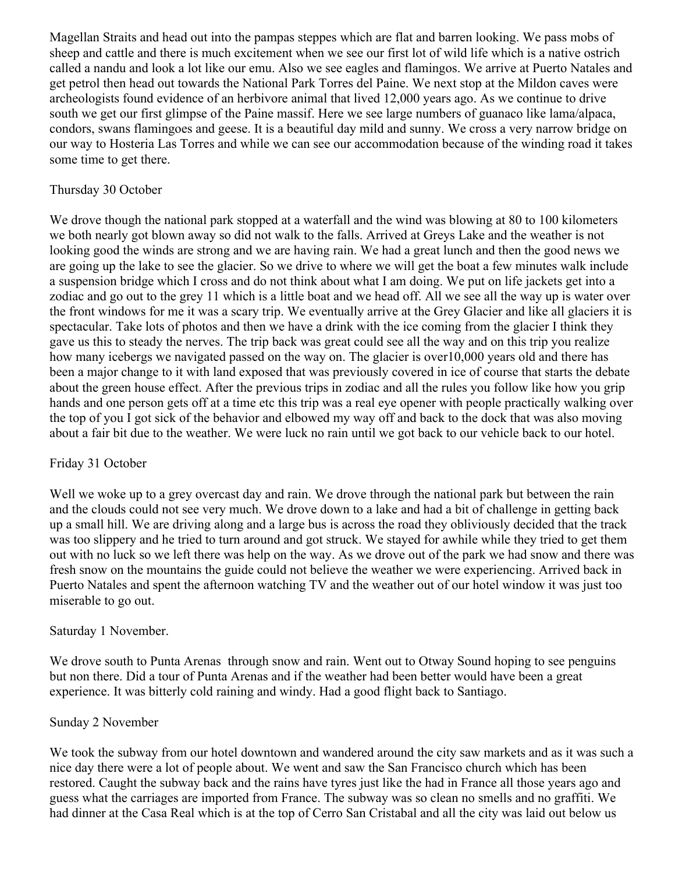Magellan Straits and head out into the pampas steppes which are flat and barren looking. We pass mobs of sheep and cattle and there is much excitement when we see our first lot of wild life which is a native ostrich called a nandu and look a lot like our emu. Also we see eagles and flamingos. We arrive at Puerto Natales and get petrol then head out towards the National Park Torres del Paine. We next stop at the Mildon caves were archeologists found evidence of an herbivore animal that lived 12,000 years ago. As we continue to drive south we get our first glimpse of the Paine massif. Here we see large numbers of guanaco like lama/alpaca, condors, swans flamingoes and geese. It is a beautiful day mild and sunny. We cross a very narrow bridge on our way to Hosteria Las Torres and while we can see our accommodation because of the winding road it takes some time to get there.

#### Thursday 30 October

We drove though the national park stopped at a waterfall and the wind was blowing at 80 to 100 kilometers we both nearly got blown away so did not walk to the falls. Arrived at Greys Lake and the weather is not looking good the winds are strong and we are having rain. We had a great lunch and then the good news we are going up the lake to see the glacier. So we drive to where we will get the boat a few minutes walk include a suspension bridge which I cross and do not think about what I am doing. We put on life jackets get into a zodiac and go out to the grey 11 which is a little boat and we head off. All we see all the way up is water over the front windows for me it was a scary trip. We eventually arrive at the Grey Glacier and like all glaciers it is spectacular. Take lots of photos and then we have a drink with the ice coming from the glacier I think they gave us this to steady the nerves. The trip back was great could see all the way and on this trip you realize how many icebergs we navigated passed on the way on. The glacier is over10,000 years old and there has been a major change to it with land exposed that was previously covered in ice of course that starts the debate about the green house effect. After the previous trips in zodiac and all the rules you follow like how you grip hands and one person gets off at a time etc this trip was a real eye opener with people practically walking over the top of you I got sick of the behavior and elbowed my way off and back to the dock that was also moving about a fair bit due to the weather. We were luck no rain until we got back to our vehicle back to our hotel.

### Friday 31 October

Well we woke up to a grey overcast day and rain. We drove through the national park but between the rain and the clouds could not see very much. We drove down to a lake and had a bit of challenge in getting back up a small hill. We are driving along and a large bus is across the road they obliviously decided that the track was too slippery and he tried to turn around and got struck. We stayed for awhile while they tried to get them out with no luck so we left there was help on the way. As we drove out of the park we had snow and there was fresh snow on the mountains the guide could not believe the weather we were experiencing. Arrived back in Puerto Natales and spent the afternoon watching TV and the weather out of our hotel window it was just too miserable to go out.

#### Saturday 1 November.

We drove south to Punta Arenas through snow and rain. Went out to Otway Sound hoping to see penguins but non there. Did a tour of Punta Arenas and if the weather had been better would have been a great experience. It was bitterly cold raining and windy. Had a good flight back to Santiago.

#### Sunday 2 November

We took the subway from our hotel downtown and wandered around the city saw markets and as it was such a nice day there were a lot of people about. We went and saw the San Francisco church which has been restored. Caught the subway back and the rains have tyres just like the had in France all those years ago and guess what the carriages are imported from France. The subway was so clean no smells and no graffiti. We had dinner at the Casa Real which is at the top of Cerro San Cristabal and all the city was laid out below us